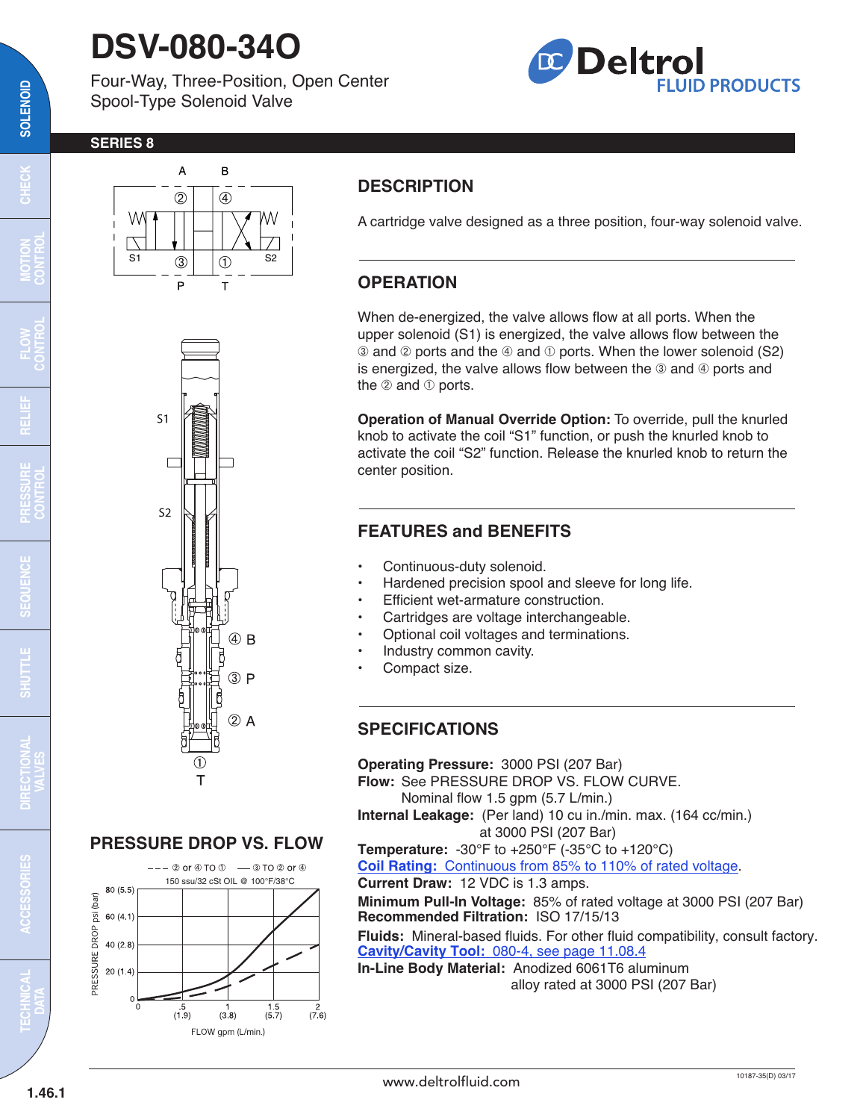## **DSV-080-34O**

Four-Way, Three-Position, Open Center Spool-Type Solenoid Valve



#### **SERIES 8**



#### **DESCRIPTION**

A cartridge valve designed as a three position, four-way solenoid valve.

#### **OPERATION**

When de-energized, the valve allows flow at all ports. When the upper solenoid (S1) is energized, the valve allows flow between the  $\circledR$  and  $\circledR$  ports and the  $\circledR$  and  $\circledR$  ports. When the lower solenoid (S2) is energized, the valve allows flow between the  $\circledcirc$  and  $\circledcirc$  ports and the  $@$  and  $@$  ports.

**Operation of Manual Override Option:** To override, pull the knurled knob to activate the coil "S1" function, or push the knurled knob to activate the coil "S2" function. Release the knurled knob to return the center position.

#### **FEATURES and BENEFITS**

- Continuous-duty solenoid.
- Hardened precision spool and sleeve for long life.
- Efficient wet-armature construction.
- Cartridges are voltage interchangeable.
- Optional coil voltages and terminations.
- Industry common cavity.
- Compact size.

#### **SPECIFICATIONS**

**Operating Pressure:** 3000 PSI (207 Bar) **Flow:** See PRESSURE DROP VS. FLOW CURVE. Nominal flow 1.5 gpm (5.7 L/min.) **Internal Leakage:** (Per land) 10 cu in./min. max. (164 cc/min.) at 3000 PSI (207 Bar) **Temperature:** -30°F to +250°F (-35°C to +120°C) **Coil Rating:** [Continuous from 85% to 110% of rated voltage.](http://www.deltrolfluid.com/sites/default/files/cartridge/Series-8%20Coils_Complete.pdf) **Current Draw:** 12 VDC is 1.3 amps. **Minimum Pull-In Voltage:** 85% of rated voltage at 3000 PSI (207 Bar) **Recommended Filtration:** ISO 17/15/13 **Fluids:** Mineral-based fluids. For other fluid compatibility, consult factory. **Cavity/Cavity Tool:** [080-4, see page 11.08.4](http://www.deltrolfluid.com/sites/default/files/cartridge/080-4_Cavity.pdf) **In-Line Body Material:** Anodized 6061T6 aluminum alloy rated at 3000 PSI (207 Bar)



#### **PRESSURE DROP VS. FLOW**



**TECHNICAL DATA**

**ACCESSORIES**

**CONTROL**

**SOLENOID**

SOLENOID

 $\overline{\mathrm{c}}$ 

œ

**VALVES**